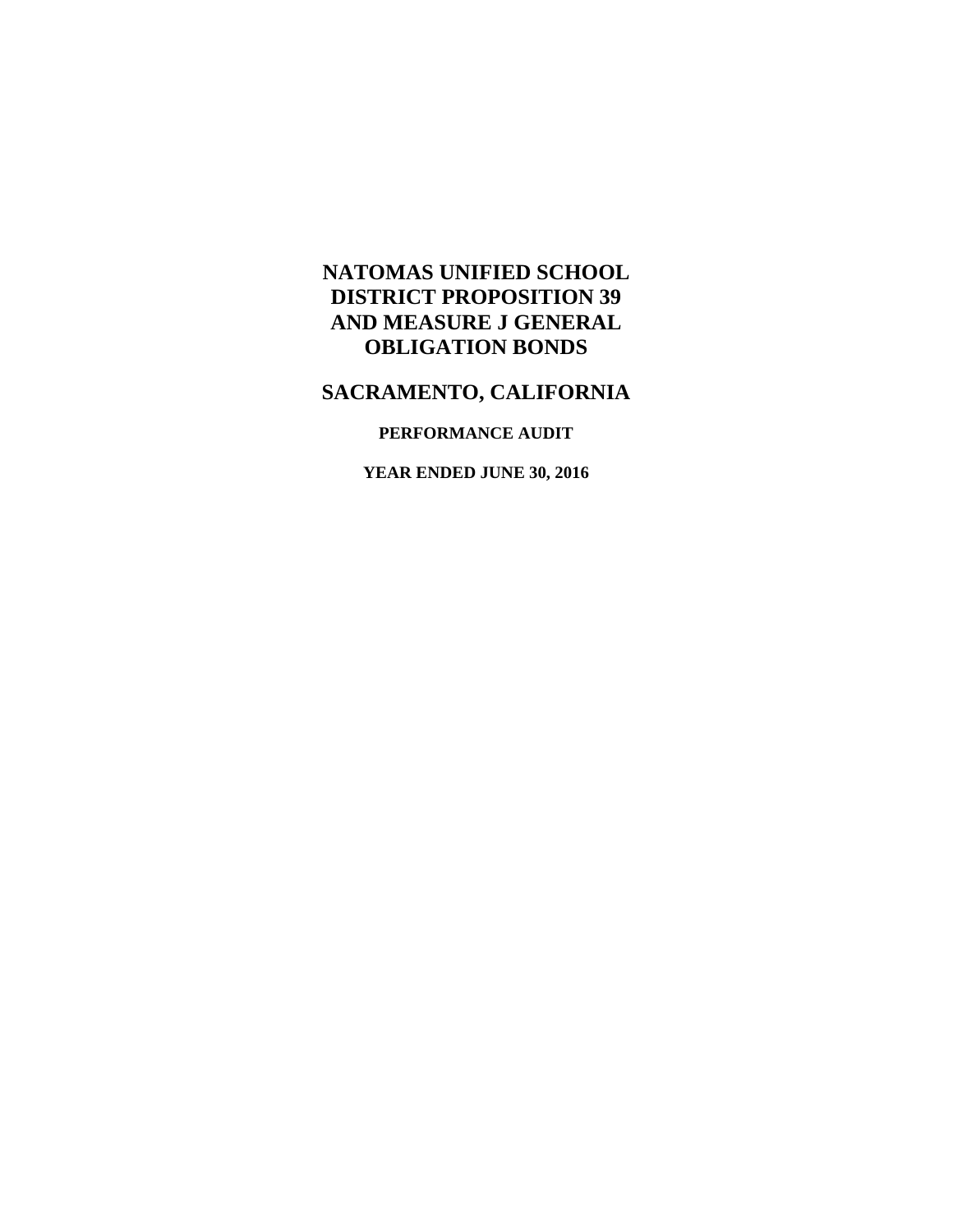# **NATOMAS UNIFIED SCHOOL DISTRICT PROPOSITION 39 AND MEASURE J GENERAL OBLIGATION BONDS**

## **SACRAMENTO, CALIFORNIA**

### **PERFORMANCE AUDIT**

**YEAR ENDED JUNE 30, 2016**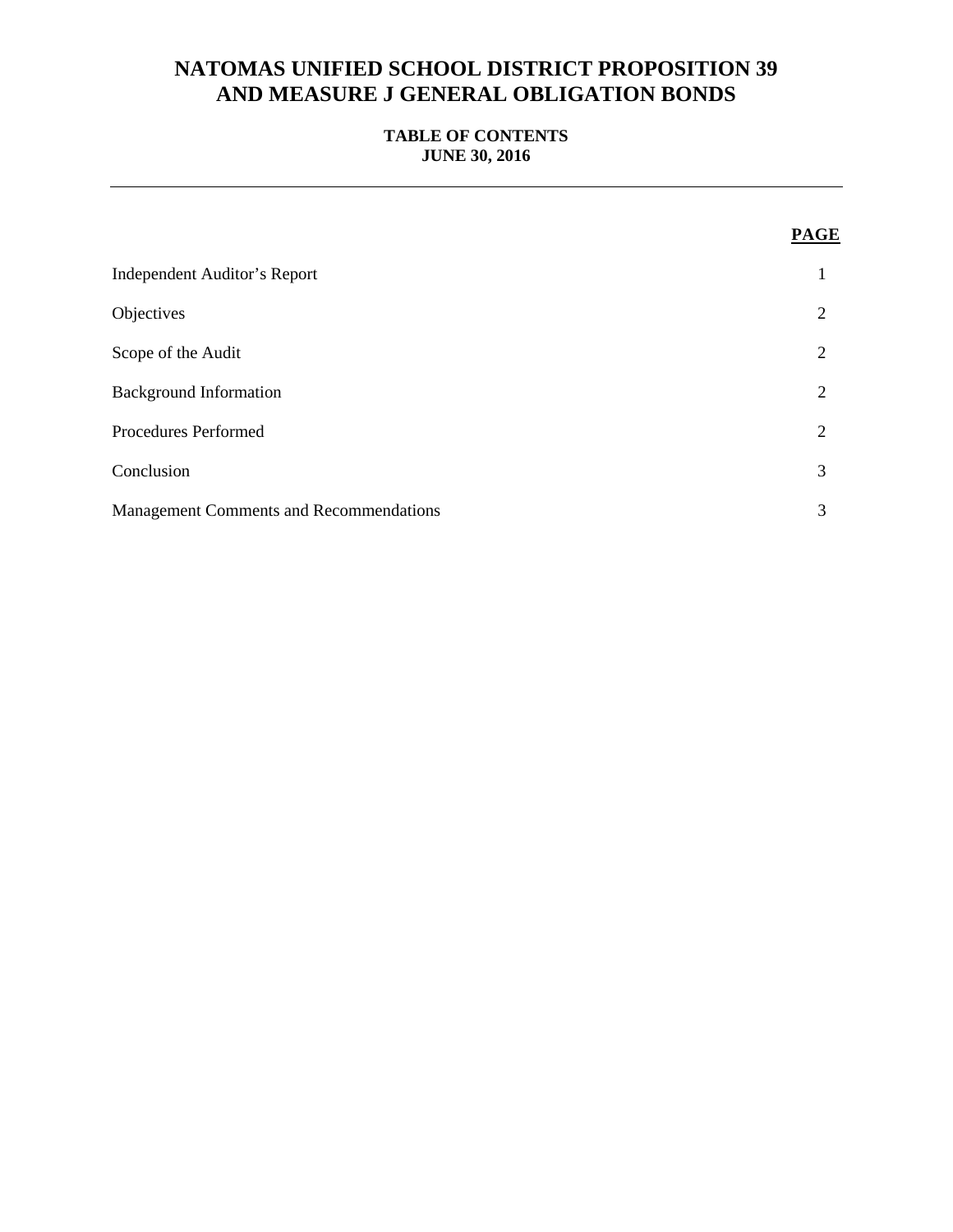# **NATOMAS UNIFIED SCHOOL DISTRICT PROPOSITION 39 AND MEASURE J GENERAL OBLIGATION BONDS**

## **TABLE OF CONTENTS JUNE 30, 2016**

|                                                | <b>PAGE</b> |
|------------------------------------------------|-------------|
| <b>Independent Auditor's Report</b>            |             |
| Objectives                                     | 2           |
| Scope of the Audit                             | 2           |
| <b>Background Information</b>                  | 2           |
| Procedures Performed                           | 2           |
| Conclusion                                     | 3           |
| <b>Management Comments and Recommendations</b> | 3           |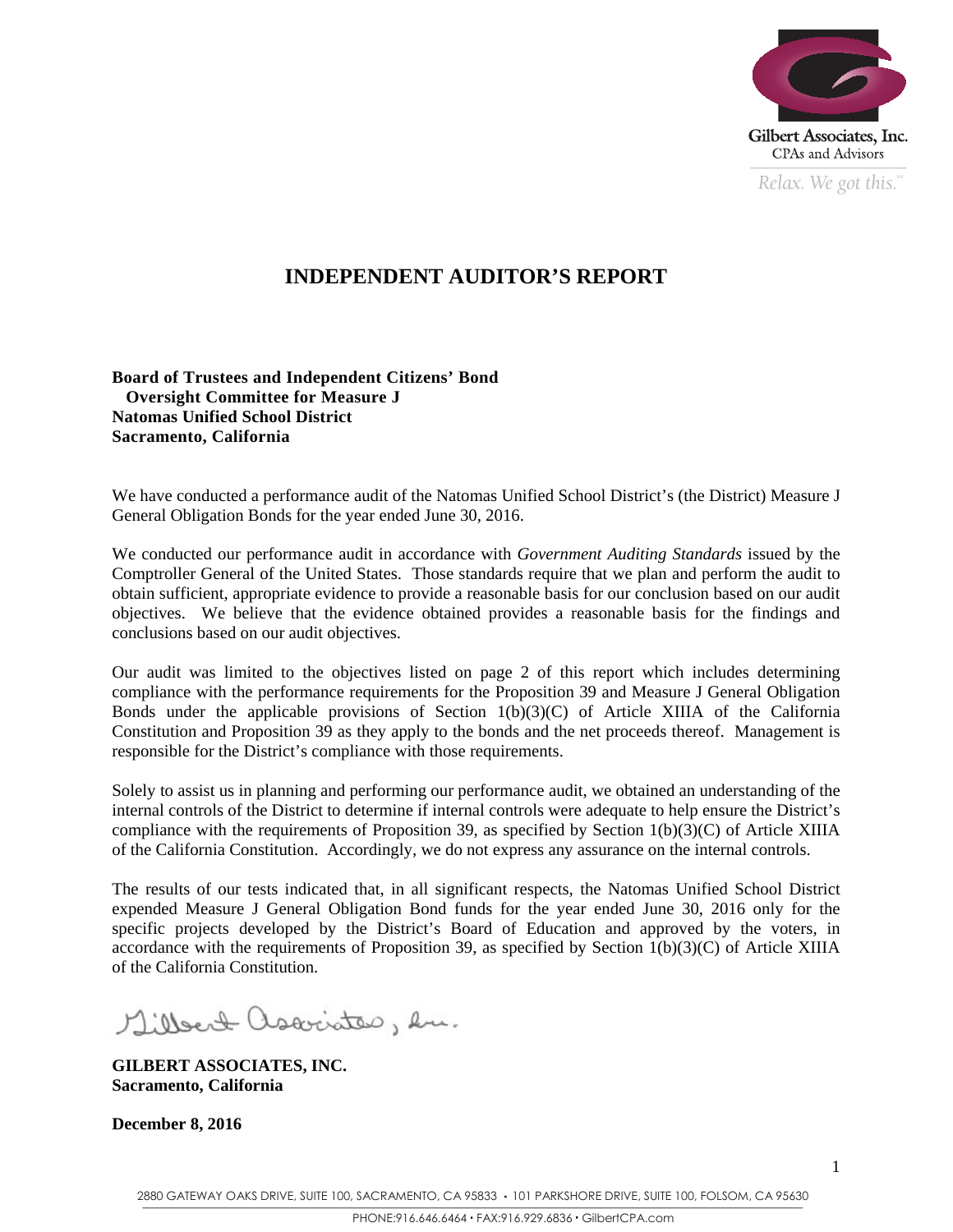

*Relax. We got this.*  $\degree$ 

1

# **INDEPENDENT AUDITOR'S REPORT**

**Board of Trustees and Independent Citizens' Bond Oversight Committee for Measure J Natomas Unified School District Sacramento, California** 

We have conducted a performance audit of the Natomas Unified School District's (the District) Measure J General Obligation Bonds for the year ended June 30, 2016.

We conducted our performance audit in accordance with *Government Auditing Standards* issued by the Comptroller General of the United States. Those standards require that we plan and perform the audit to obtain sufficient, appropriate evidence to provide a reasonable basis for our conclusion based on our audit objectives. We believe that the evidence obtained provides a reasonable basis for the findings and conclusions based on our audit objectives.

Our audit was limited to the objectives listed on page 2 of this report which includes determining compliance with the performance requirements for the Proposition 39 and Measure J General Obligation Bonds under the applicable provisions of Section  $1(b)(3)(C)$  of Article XIIIA of the California Constitution and Proposition 39 as they apply to the bonds and the net proceeds thereof. Management is responsible for the District's compliance with those requirements.

Solely to assist us in planning and performing our performance audit, we obtained an understanding of the internal controls of the District to determine if internal controls were adequate to help ensure the District's compliance with the requirements of Proposition 39, as specified by Section 1(b)(3)(C) of Article XIIIA of the California Constitution. Accordingly, we do not express any assurance on the internal controls.

The results of our tests indicated that, in all significant respects, the Natomas Unified School District expended Measure J General Obligation Bond funds for the year ended June 30, 2016 only for the specific projects developed by the District's Board of Education and approved by the voters, in accordance with the requirements of Proposition 39, as specified by Section 1(b)(3)(C) of Article XIIIA of the California Constitution.

Millert associates, hu.

**GILBERT ASSOCIATES, INC. Sacramento, California** 

**December 8, 2016**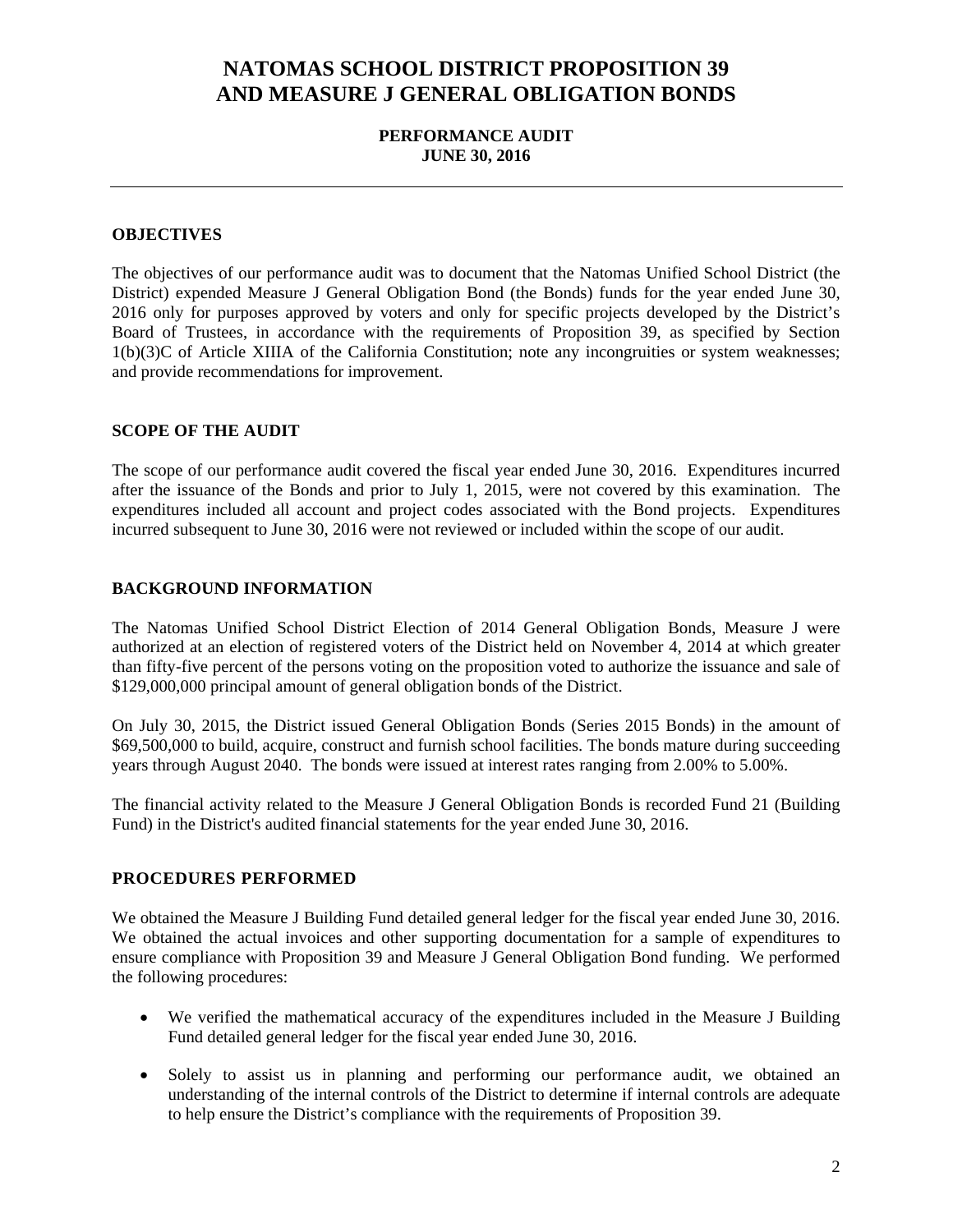# **NATOMAS SCHOOL DISTRICT PROPOSITION 39 AND MEASURE J GENERAL OBLIGATION BONDS**

### **PERFORMANCE AUDIT JUNE 30, 2016**

#### **OBJECTIVES**

The objectives of our performance audit was to document that the Natomas Unified School District (the District) expended Measure J General Obligation Bond (the Bonds) funds for the year ended June 30, 2016 only for purposes approved by voters and only for specific projects developed by the District's Board of Trustees, in accordance with the requirements of Proposition 39, as specified by Section 1(b)(3)C of Article XIIIA of the California Constitution; note any incongruities or system weaknesses; and provide recommendations for improvement.

### **SCOPE OF THE AUDIT**

The scope of our performance audit covered the fiscal year ended June 30, 2016. Expenditures incurred after the issuance of the Bonds and prior to July 1, 2015, were not covered by this examination. The expenditures included all account and project codes associated with the Bond projects. Expenditures incurred subsequent to June 30, 2016 were not reviewed or included within the scope of our audit.

#### **BACKGROUND INFORMATION**

The Natomas Unified School District Election of 2014 General Obligation Bonds, Measure J were authorized at an election of registered voters of the District held on November 4, 2014 at which greater than fifty-five percent of the persons voting on the proposition voted to authorize the issuance and sale of \$129,000,000 principal amount of general obligation bonds of the District.

On July 30, 2015, the District issued General Obligation Bonds (Series 2015 Bonds) in the amount of \$69,500,000 to build, acquire, construct and furnish school facilities. The bonds mature during succeeding years through August 2040. The bonds were issued at interest rates ranging from 2.00% to 5.00%.

The financial activity related to the Measure J General Obligation Bonds is recorded Fund 21 (Building Fund) in the District's audited financial statements for the year ended June 30, 2016.

### **PROCEDURES PERFORMED**

We obtained the Measure J Building Fund detailed general ledger for the fiscal year ended June 30, 2016. We obtained the actual invoices and other supporting documentation for a sample of expenditures to ensure compliance with Proposition 39 and Measure J General Obligation Bond funding. We performed the following procedures:

- We verified the mathematical accuracy of the expenditures included in the Measure J Building Fund detailed general ledger for the fiscal year ended June 30, 2016.
- Solely to assist us in planning and performing our performance audit, we obtained an understanding of the internal controls of the District to determine if internal controls are adequate to help ensure the District's compliance with the requirements of Proposition 39.